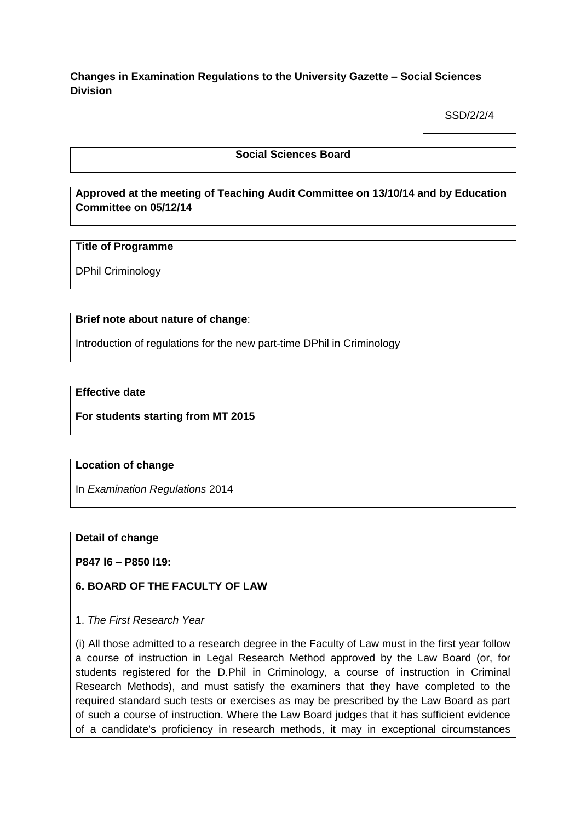**Changes in Examination Regulations to the University Gazette – Social Sciences Division**

SSD/2/2/4

## **Social Sciences Board**

## **Approved at the meeting of Teaching Audit Committee on 13/10/14 and by Education Committee on 05/12/14**

### **Title of Programme**

DPhil Criminology

### **Brief note about nature of change**:

Introduction of regulations for the new part-time DPhil in Criminology

### **Effective date**

**For students starting from MT 2015**

### **Location of change**

In *Examination Regulations* 2014

#### **Detail of change**

**P847 l6 – P850 l19:**

# **6. BOARD OF THE FACULTY OF LAW**

1. *The First Research Year*

(i) All those admitted to a research degree in the Faculty of Law must in the first year follow a course of instruction in Legal Research Method approved by the Law Board (or, for students registered for the D.Phil in Criminology, a course of instruction in Criminal Research Methods), and must satisfy the examiners that they have completed to the required standard such tests or exercises as may be prescribed by the Law Board as part of such a course of instruction. Where the Law Board judges that it has sufficient evidence of a candidate's proficiency in research methods, it may in exceptional circumstances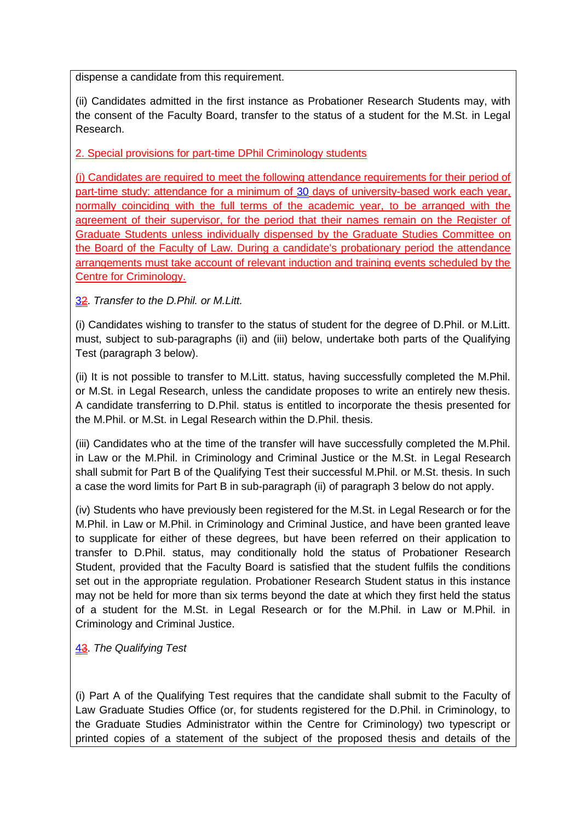dispense a candidate from this requirement.

(ii) Candidates admitted in the first instance as Probationer Research Students may, with the consent of the Faculty Board, transfer to the status of a student for the M.St. in Legal Research.

2. Special provisions for part-time DPhil Criminology students

(i) Candidates are required to meet the following attendance requirements for their period of part-time study: attendance for a minimum of 30 days of university-based work each year, normally coinciding with the full terms of the academic year, to be arranged with the agreement of their supervisor, for the period that their names remain on the Register of Graduate Students unless individually dispensed by the Graduate Studies Committee on the Board of the Faculty of Law. During a candidate's probationary period the attendance arrangements must take account of relevant induction and training events scheduled by the Centre for Criminology.

## 32. *Transfer to the D.Phil. or M.Litt.*

(i) Candidates wishing to transfer to the status of student for the degree of D.Phil. or M.Litt. must, subject to sub-paragraphs (ii) and (iii) below, undertake both parts of the Qualifying Test (paragraph 3 below).

(ii) It is not possible to transfer to M.Litt. status, having successfully completed the M.Phil. or M.St. in Legal Research, unless the candidate proposes to write an entirely new thesis. A candidate transferring to D.Phil. status is entitled to incorporate the thesis presented for the M.Phil. or M.St. in Legal Research within the D.Phil. thesis.

(iii) Candidates who at the time of the transfer will have successfully completed the M.Phil. in Law or the M.Phil. in Criminology and Criminal Justice or the M.St. in Legal Research shall submit for Part B of the Qualifying Test their successful M.Phil. or M.St. thesis. In such a case the word limits for Part B in sub-paragraph (ii) of paragraph 3 below do not apply.

(iv) Students who have previously been registered for the M.St. in Legal Research or for the M.Phil. in Law or M.Phil. in Criminology and Criminal Justice, and have been granted leave to supplicate for either of these degrees, but have been referred on their application to transfer to D.Phil. status, may conditionally hold the status of Probationer Research Student, provided that the Faculty Board is satisfied that the student fulfils the conditions set out in the appropriate regulation. Probationer Research Student status in this instance may not be held for more than six terms beyond the date at which they first held the status of a student for the M.St. in Legal Research or for the M.Phil. in Law or M.Phil. in Criminology and Criminal Justice.

## 43. *The Qualifying Test*

(i) Part A of the Qualifying Test requires that the candidate shall submit to the Faculty of Law Graduate Studies Office (or, for students registered for the D.Phil. in Criminology, to the Graduate Studies Administrator within the Centre for Criminology) two typescript or printed copies of a statement of the subject of the proposed thesis and details of the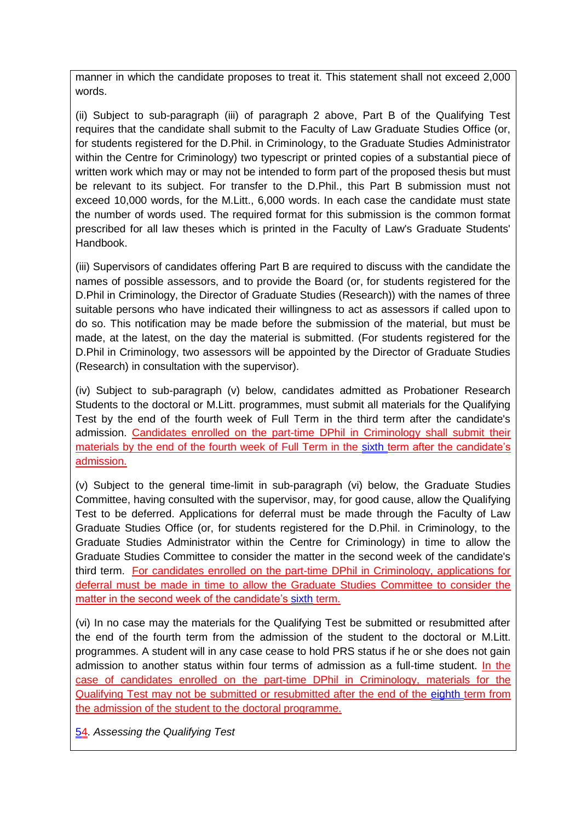manner in which the candidate proposes to treat it. This statement shall not exceed 2,000 words.

(ii) Subject to sub-paragraph (iii) of paragraph 2 above, Part B of the Qualifying Test requires that the candidate shall submit to the Faculty of Law Graduate Studies Office (or, for students registered for the D.Phil. in Criminology, to the Graduate Studies Administrator within the Centre for Criminology) two typescript or printed copies of a substantial piece of written work which may or may not be intended to form part of the proposed thesis but must be relevant to its subject. For transfer to the D.Phil., this Part B submission must not exceed 10,000 words, for the M.Litt., 6,000 words. In each case the candidate must state the number of words used. The required format for this submission is the common format prescribed for all law theses which is printed in the Faculty of Law's Graduate Students' Handbook.

(iii) Supervisors of candidates offering Part B are required to discuss with the candidate the names of possible assessors, and to provide the Board (or, for students registered for the D.Phil in Criminology, the Director of Graduate Studies (Research)) with the names of three suitable persons who have indicated their willingness to act as assessors if called upon to do so. This notification may be made before the submission of the material, but must be made, at the latest, on the day the material is submitted. (For students registered for the D.Phil in Criminology, two assessors will be appointed by the Director of Graduate Studies (Research) in consultation with the supervisor).

(iv) Subject to sub-paragraph (v) below, candidates admitted as Probationer Research Students to the doctoral or M.Litt. programmes, must submit all materials for the Qualifying Test by the end of the fourth week of Full Term in the third term after the candidate's admission. Candidates enrolled on the part-time DPhil in Criminology shall submit their materials by the end of the fourth week of Full Term in the sixth term after the candidate's admission.

(v) Subject to the general time-limit in sub-paragraph (vi) below, the Graduate Studies Committee, having consulted with the supervisor, may, for good cause, allow the Qualifying Test to be deferred. Applications for deferral must be made through the Faculty of Law Graduate Studies Office (or, for students registered for the D.Phil. in Criminology, to the Graduate Studies Administrator within the Centre for Criminology) in time to allow the Graduate Studies Committee to consider the matter in the second week of the candidate's third term. For candidates enrolled on the part-time DPhil in Criminology, applications for deferral must be made in time to allow the Graduate Studies Committee to consider the matter in the second week of the candidate's sixth term.

(vi) In no case may the materials for the Qualifying Test be submitted or resubmitted after the end of the fourth term from the admission of the student to the doctoral or M.Litt. programmes. A student will in any case cease to hold PRS status if he or she does not gain admission to another status within four terms of admission as a full-time student. In the case of candidates enrolled on the part-time DPhil in Criminology, materials for the Qualifying Test may not be submitted or resubmitted after the end of the eighth term from the admission of the student to the doctoral programme.

54. *Assessing the Qualifying Test*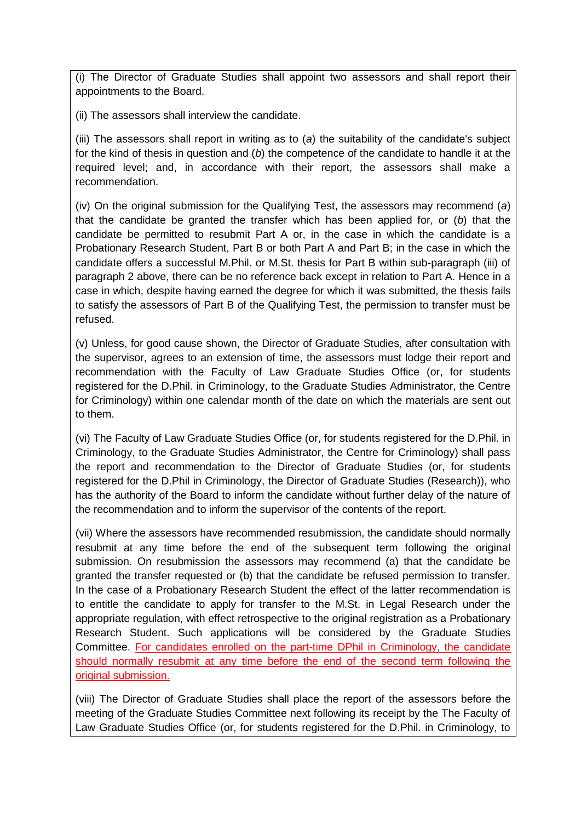(i) The Director of Graduate Studies shall appoint two assessors and shall report their appointments to the Board.

(ii) The assessors shall interview the candidate.

(iii) The assessors shall report in writing as to (*a*) the suitability of the candidate's subject for the kind of thesis in question and (*b*) the competence of the candidate to handle it at the required level; and, in accordance with their report, the assessors shall make a recommendation.

(iv) On the original submission for the Qualifying Test, the assessors may recommend (*a*) that the candidate be granted the transfer which has been applied for, or (*b*) that the candidate be permitted to resubmit Part A or, in the case in which the candidate is a Probationary Research Student, Part B or both Part A and Part B; in the case in which the candidate offers a successful M.Phil. or M.St. thesis for Part B within sub-paragraph (iii) of paragraph 2 above, there can be no reference back except in relation to Part A. Hence in a case in which, despite having earned the degree for which it was submitted, the thesis fails to satisfy the assessors of Part B of the Qualifying Test, the permission to transfer must be refused.

(v) Unless, for good cause shown, the Director of Graduate Studies, after consultation with the supervisor, agrees to an extension of time, the assessors must lodge their report and recommendation with the Faculty of Law Graduate Studies Office (or, for students registered for the D.Phil. in Criminology, to the Graduate Studies Administrator, the Centre for Criminology) within one calendar month of the date on which the materials are sent out to them.

(vi) The Faculty of Law Graduate Studies Office (or, for students registered for the D.Phil. in Criminology, to the Graduate Studies Administrator, the Centre for Criminology) shall pass the report and recommendation to the Director of Graduate Studies (or, for students registered for the D.Phil in Criminology, the Director of Graduate Studies (Research)), who has the authority of the Board to inform the candidate without further delay of the nature of the recommendation and to inform the supervisor of the contents of the report.

(vii) Where the assessors have recommended resubmission, the candidate should normally resubmit at any time before the end of the subsequent term following the original submission. On resubmission the assessors may recommend (a) that the candidate be granted the transfer requested or (b) that the candidate be refused permission to transfer. In the case of a Probationary Research Student the effect of the latter recommendation is to entitle the candidate to apply for transfer to the M.St. in Legal Research under the appropriate regulation, with effect retrospective to the original registration as a Probationary Research Student. Such applications will be considered by the Graduate Studies Committee. For candidates enrolled on the part-time DPhil in Criminology, the candidate should normally resubmit at any time before the end of the second term following the original submission.

(viii) The Director of Graduate Studies shall place the report of the assessors before the meeting of the Graduate Studies Committee next following its receipt by the The Faculty of Law Graduate Studies Office (or, for students registered for the D.Phil. in Criminology, to